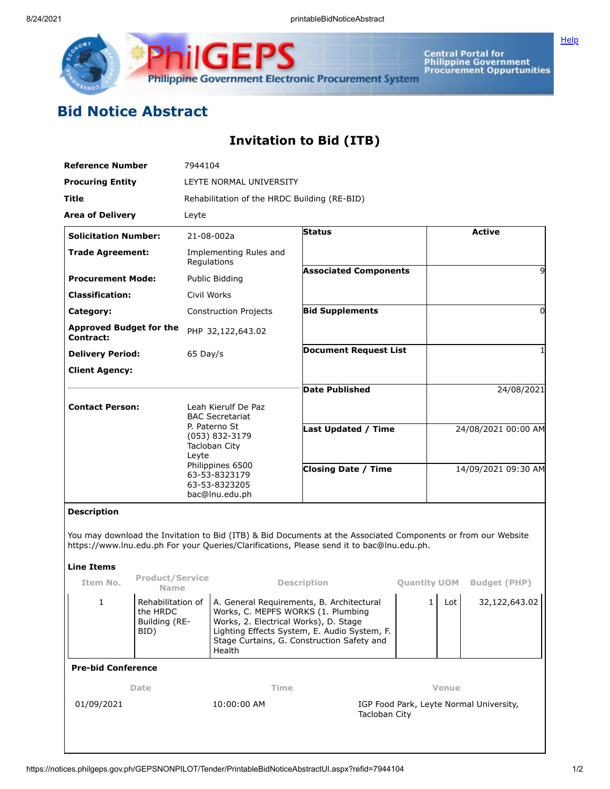

Central Portal for<br>Philippine Government<br>Procurement Oppurtunities

## **Bid Notice Abstract**

## **Invitation to Bid (ITB)**

| <b>Reference Number</b>                     |                                                        | 7944104                                                                                                                                                                            |                                                                                                                                                                                                                                  |                                                                                                               |  |                                         |     |                     |  |
|---------------------------------------------|--------------------------------------------------------|------------------------------------------------------------------------------------------------------------------------------------------------------------------------------------|----------------------------------------------------------------------------------------------------------------------------------------------------------------------------------------------------------------------------------|---------------------------------------------------------------------------------------------------------------|--|-----------------------------------------|-----|---------------------|--|
| <b>Procuring Entity</b>                     |                                                        | LEYTE NORMAL UNIVERSITY                                                                                                                                                            |                                                                                                                                                                                                                                  |                                                                                                               |  |                                         |     |                     |  |
| Title                                       |                                                        | Rehabilitation of the HRDC Building (RE-BID)                                                                                                                                       |                                                                                                                                                                                                                                  |                                                                                                               |  |                                         |     |                     |  |
| <b>Area of Delivery</b>                     |                                                        | Leyte                                                                                                                                                                              |                                                                                                                                                                                                                                  |                                                                                                               |  |                                         |     |                     |  |
| <b>Solicitation Number:</b>                 |                                                        | $21 - 08 - 002a$                                                                                                                                                                   |                                                                                                                                                                                                                                  | <b>Status</b>                                                                                                 |  | <b>Active</b>                           |     |                     |  |
| <b>Trade Agreement:</b>                     |                                                        | Implementing Rules and<br>Regulations                                                                                                                                              |                                                                                                                                                                                                                                  |                                                                                                               |  |                                         |     |                     |  |
| <b>Procurement Mode:</b>                    |                                                        | Public Bidding<br>Civil Works                                                                                                                                                      |                                                                                                                                                                                                                                  | <b>Associated Components</b>                                                                                  |  | 9                                       |     |                     |  |
| <b>Classification:</b>                      |                                                        |                                                                                                                                                                                    |                                                                                                                                                                                                                                  |                                                                                                               |  |                                         |     |                     |  |
| Category:                                   |                                                        |                                                                                                                                                                                    | <b>Construction Projects</b>                                                                                                                                                                                                     | <b>Bid Supplements</b>                                                                                        |  |                                         |     | 0                   |  |
| <b>Approved Budget for the</b><br>Contract: |                                                        |                                                                                                                                                                                    | PHP 32,122,643.02                                                                                                                                                                                                                |                                                                                                               |  |                                         |     |                     |  |
| <b>Delivery Period:</b>                     |                                                        | 65 Day/s                                                                                                                                                                           |                                                                                                                                                                                                                                  | <b>Document Request List</b>                                                                                  |  |                                         |     |                     |  |
| <b>Client Agency:</b>                       |                                                        |                                                                                                                                                                                    |                                                                                                                                                                                                                                  |                                                                                                               |  |                                         |     |                     |  |
|                                             |                                                        |                                                                                                                                                                                    |                                                                                                                                                                                                                                  | <b>Date Published</b>                                                                                         |  | 24/08/2021                              |     |                     |  |
| <b>Contact Person:</b>                      |                                                        | Leah Kierulf De Paz<br><b>BAC Secretariat</b><br>P. Paterno St<br>(053) 832-3179<br>Tacloban City<br>Leyte<br>Philippines 6500<br>63-53-8323179<br>63-53-8323205<br>bac@lnu.edu.ph |                                                                                                                                                                                                                                  |                                                                                                               |  |                                         |     |                     |  |
|                                             |                                                        |                                                                                                                                                                                    |                                                                                                                                                                                                                                  | <b>Last Updated / Time</b>                                                                                    |  | 24/08/2021 00:00 AM                     |     |                     |  |
|                                             |                                                        |                                                                                                                                                                                    |                                                                                                                                                                                                                                  |                                                                                                               |  |                                         |     |                     |  |
|                                             |                                                        |                                                                                                                                                                                    |                                                                                                                                                                                                                                  |                                                                                                               |  |                                         |     |                     |  |
|                                             |                                                        |                                                                                                                                                                                    |                                                                                                                                                                                                                                  | <b>Closing Date / Time</b>                                                                                    |  | 14/09/2021 09:30 AM                     |     |                     |  |
|                                             |                                                        |                                                                                                                                                                                    |                                                                                                                                                                                                                                  |                                                                                                               |  |                                         |     |                     |  |
| <b>Description</b>                          |                                                        |                                                                                                                                                                                    |                                                                                                                                                                                                                                  |                                                                                                               |  |                                         |     |                     |  |
|                                             |                                                        |                                                                                                                                                                                    |                                                                                                                                                                                                                                  | You may download the Invitation to Bid (ITB) & Bid Documents at the Associated Components or from our Website |  |                                         |     |                     |  |
|                                             |                                                        |                                                                                                                                                                                    |                                                                                                                                                                                                                                  | https://www.lnu.edu.ph For your Queries/Clarifications, Please send it to bac@lnu.edu.ph.                     |  |                                         |     |                     |  |
| <b>Line Items</b>                           |                                                        |                                                                                                                                                                                    |                                                                                                                                                                                                                                  |                                                                                                               |  |                                         |     |                     |  |
| Item No.                                    | <b>Product/Service</b><br><b>Name</b>                  |                                                                                                                                                                                    | <b>Description</b>                                                                                                                                                                                                               |                                                                                                               |  | <b>Quantity UOM</b>                     |     | <b>Budget (PHP)</b> |  |
| 1                                           | Rehabilitation of<br>the HRDC<br>Building (RE-<br>BID) |                                                                                                                                                                                    | A. General Requirements, B. Architectural<br>Works, C. MEPFS WORKS (1. Plumbing<br>Works, 2. Electrical Works), D. Stage<br>Lighting Effects System, E. Audio System, F.<br>Stage Curtains, G. Construction Safety and<br>Health |                                                                                                               |  | 1                                       | Lot | 32,122,643.02       |  |
| <b>Pre-bid Conference</b>                   |                                                        |                                                                                                                                                                                    |                                                                                                                                                                                                                                  |                                                                                                               |  |                                         |     |                     |  |
| Date                                        |                                                        |                                                                                                                                                                                    | Time                                                                                                                                                                                                                             |                                                                                                               |  | Venue                                   |     |                     |  |
| 01/09/2021                                  |                                                        |                                                                                                                                                                                    | 10:00:00 AM<br>Tacloban City                                                                                                                                                                                                     |                                                                                                               |  | IGP Food Park, Leyte Normal University, |     |                     |  |